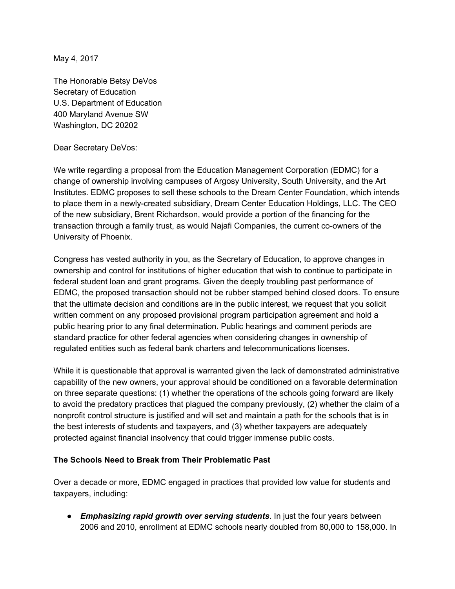May 4, 2017

The Honorable Betsy DeVos Secretary of Education U.S. Department of Education 400 Maryland Avenue SW Washington, DC 20202

## Dear Secretary DeVos:

We write regarding a proposal from the Education Management Corporation (EDMC) for a change of ownership involving campuses of Argosy University, South University, and the Art Institutes. EDMC proposes to sell these schools to the Dream Center Foundation, which intends to place them in a newly-created subsidiary, Dream Center Education Holdings, LLC. The CEO of the new subsidiary, Brent Richardson, would provide a portion of the financing for the transaction through a family trust, as would Najafi Companies, the current co-owners of the University of Phoenix.

Congress has vested authority in you, as the Secretary of Education, to approve changes in ownership and control for institutions of higher education that wish to continue to participate in federal student loan and grant programs. Given the deeply troubling past performance of EDMC, the proposed transaction should not be rubber stamped behind closed doors. To ensure that the ultimate decision and conditions are in the public interest, we request that you solicit written comment on any proposed provisional program participation agreement and hold a public hearing prior to any final determination. Public hearings and comment periods are standard practice for other federal agencies when considering changes in ownership of regulated entities such as federal bank charters and telecommunications licenses.

While it is questionable that approval is warranted given the lack of demonstrated administrative capability of the new owners, your approval should be conditioned on a favorable determination on three separate questions: (1) whether the operations of the schools going forward are likely to avoid the predatory practices that plagued the company previously, (2) whether the claim of a nonprofit control structure is justified and will set and maintain a path for the schools that is in the best interests of students and taxpayers, and (3) whether taxpayers are adequately protected against financial insolvency that could trigger immense public costs.

## **The Schools Need to Break from Their Problematic Past**

Over a decade or more, EDMC engaged in practices that provided low value for students and taxpayers, including:

● *Emphasizing rapid growth over serving students*. In just the four years between 2006 and 2010, enrollment at EDMC schools nearly doubled from 80,000 to 158,000. In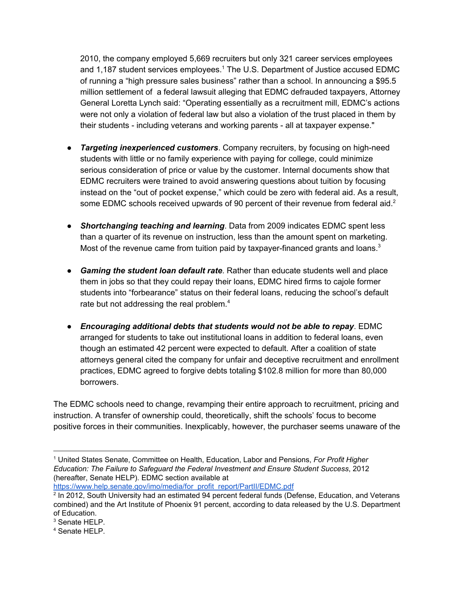2010, the company employed 5,669 recruiters but only 321 career services employees and 1,187 student services employees.<sup>1</sup> The U.S. Department of Justice accused EDMC of running a "high pressure sales business" rather than a school. In announcing a \$95.5 million settlement of a federal lawsuit alleging that EDMC defrauded taxpayers, Attorney General Loretta Lynch said: "Operating essentially as a recruitment mill, EDMC's actions were not only a violation of federal law but also a violation of the trust placed in them by their students - including veterans and working parents - all at taxpayer expense."

- *Targeting inexperienced customers*. Company recruiters, by focusing on high-need students with little or no family experience with paying for college, could minimize serious consideration of price or value by the customer. Internal documents show that EDMC recruiters were trained to avoid answering questions about tuition by focusing instead on the "out of pocket expense," which could be zero with federal aid. As a result, some EDMC schools received upwards of 90 percent of their revenue from federal aid.<sup>2</sup>
- *Shortchanging teaching and learning*. Data from 2009 indicates EDMC spent less than a quarter of its revenue on instruction, less than the amount spent on marketing. Most of the revenue came from tuition paid by taxpayer-financed grants and loans. $3$
- *Gaming the student loan default rate*. Rather than educate students well and place them in jobs so that they could repay their loans, EDMC hired firms to cajole former students into "forbearance" status on their federal loans, reducing the school's default rate but not addressing the real problem.<sup>4</sup>
- *Encouraging additional debts that students would not be able to repay*. EDMC arranged for students to take out institutional loans in addition to federal loans, even though an estimated 42 percent were expected to default. After a coalition of state attorneys general cited the company for unfair and deceptive recruitment and enrollment practices, EDMC agreed to forgive debts totaling \$102.8 million for more than 80,000 borrowers.

The EDMC schools need to change, revamping their entire approach to recruitment, pricing and instruction. A transfer of ownership could, theoretically, shift the schools' focus to become positive forces in their communities. Inexplicably, however, the purchaser seems unaware of the

[https://www.help.senate.gov/imo/media/for\\_profit\\_report/PartII/EDMC.pdf](https://www.help.senate.gov/imo/media/for_profit_report/PartII/EDMC.pdf)

<sup>1</sup> United States Senate, Committee on Health, Education, Labor and Pensions, *For Profit Higher Education: The Failure to Safeguard the Federal Investment and Ensure Student Success*, 2012 (hereafter, Senate HELP). EDMC section available at

<sup>&</sup>lt;sup>2</sup> In 2012, South University had an estimated 94 percent federal funds (Defense, Education, and Veterans combined) and the Art Institute of Phoenix 91 percent, according to data released by the U.S. Department of Education.

<sup>&</sup>lt;sup>3</sup> Senate HELP.

<sup>4</sup> Senate HELP.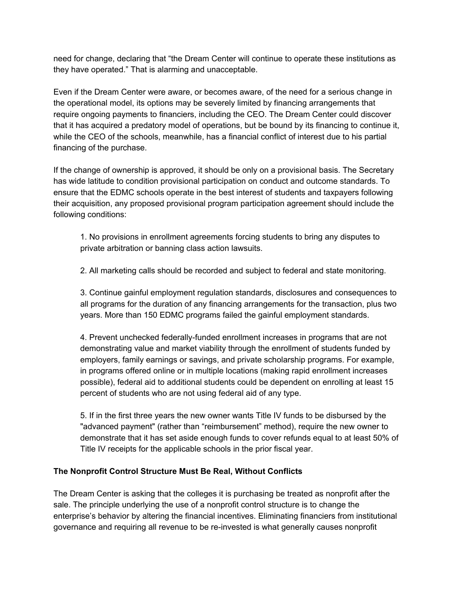need for change, declaring that "the Dream Center will continue to operate these institutions as they have operated." That is alarming and unacceptable.

Even if the Dream Center were aware, or becomes aware, of the need for a serious change in the operational model, its options may be severely limited by financing arrangements that require ongoing payments to financiers, including the CEO. The Dream Center could discover that it has acquired a predatory model of operations, but be bound by its financing to continue it, while the CEO of the schools, meanwhile, has a financial conflict of interest due to his partial financing of the purchase.

If the change of ownership is approved, it should be only on a provisional basis. The Secretary has wide latitude to condition provisional participation on conduct and outcome standards. To ensure that the EDMC schools operate in the best interest of students and taxpayers following their acquisition, any proposed provisional program participation agreement should include the following conditions:

1. No provisions in enrollment agreements forcing students to bring any disputes to private arbitration or banning class action lawsuits.

2. All marketing calls should be recorded and subject to federal and state monitoring.

3. Continue gainful employment regulation standards, disclosures and consequences to all programs for the duration of any financing arrangements for the transaction, plus two years. More than 150 EDMC programs failed the gainful employment standards.

4. Prevent unchecked federally-funded enrollment increases in programs that are not demonstrating value and market viability through the enrollment of students funded by employers, family earnings or savings, and private scholarship programs. For example, in programs offered online or in multiple locations (making rapid enrollment increases possible), federal aid to additional students could be dependent on enrolling at least 15 percent of students who are not using federal aid of any type.

5. If in the first three years the new owner wants Title IV funds to be disbursed by the "advanced payment" (rather than "reimbursement" method), require the new owner to demonstrate that it has set aside enough funds to cover refunds equal to at least 50% of Title IV receipts for the applicable schools in the prior fiscal year.

## **The Nonprofit Control Structure Must Be Real, Without Conflicts**

The Dream Center is asking that the colleges it is purchasing be treated as nonprofit after the sale. The principle underlying the use of a nonprofit control structure is to change the enterprise's behavior by altering the financial incentives. Eliminating financiers from institutional governance and requiring all revenue to be re-invested is what generally causes nonprofit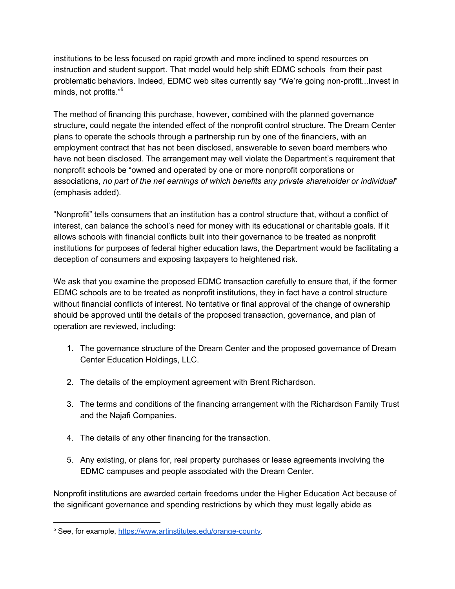institutions to be less focused on rapid growth and more inclined to spend resources on instruction and student support. That model would help shift EDMC schools from their past problematic behaviors. Indeed, EDMC web sites currently say "We're going non-profit...Invest in minds, not profits." 5

The method of financing this purchase, however, combined with the planned governance structure, could negate the intended effect of the nonprofit control structure. The Dream Center plans to operate the schools through a partnership run by one of the financiers, with an employment contract that has not been disclosed, answerable to seven board members who have not been disclosed. The arrangement may well violate the Department's requirement that nonprofit schools be "owned and operated by one or more nonprofit corporations or associations, *no part of the net earnings of which benefits any private shareholder or individual*" (emphasis added).

"Nonprofit" tells consumers that an institution has a control structure that, without a conflict of interest, can balance the school's need for money with its educational or charitable goals. If it allows schools with financial conflicts built into their governance to be treated as nonprofit institutions for purposes of federal higher education laws, the Department would be facilitating a deception of consumers and exposing taxpayers to heightened risk.

We ask that you examine the proposed EDMC transaction carefully to ensure that, if the former EDMC schools are to be treated as nonprofit institutions, they in fact have a control structure without financial conflicts of interest. No tentative or final approval of the change of ownership should be approved until the details of the proposed transaction, governance, and plan of operation are reviewed, including:

- 1. The governance structure of the Dream Center and the proposed governance of Dream Center Education Holdings, LLC.
- 2. The details of the employment agreement with Brent Richardson.
- 3. The terms and conditions of the financing arrangement with the Richardson Family Trust and the Najafi Companies.
- 4. The details of any other financing for the transaction.
- 5. Any existing, or plans for, real property purchases or lease agreements involving the EDMC campuses and people associated with the Dream Center.

Nonprofit institutions are awarded certain freedoms under the Higher Education Act because of the significant governance and spending restrictions by which they must legally abide as

<sup>&</sup>lt;sup>5</sup> See, for example, [https://www.artinstitutes.edu/orange-county.](https://www.artinstitutes.edu/orange-county)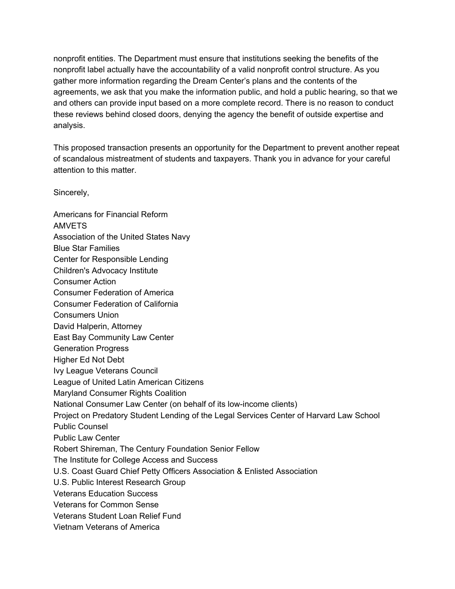nonprofit entities. The Department must ensure that institutions seeking the benefits of the nonprofit label actually have the accountability of a valid nonprofit control structure. As you gather more information regarding the Dream Center's plans and the contents of the agreements, we ask that you make the information public, and hold a public hearing, so that we and others can provide input based on a more complete record. There is no reason to conduct these reviews behind closed doors, denying the agency the benefit of outside expertise and analysis.

This proposed transaction presents an opportunity for the Department to prevent another repeat of scandalous mistreatment of students and taxpayers. Thank you in advance for your careful attention to this matter.

Sincerely,

Americans for Financial Reform AMVETS Association of the United States Navy Blue Star Families Center for Responsible Lending Children's Advocacy Institute Consumer Action Consumer Federation of America Consumer Federation of California Consumers Union David Halperin, Attorney East Bay Community Law Center Generation Progress Higher Ed Not Debt Ivy League Veterans Council League of United Latin American Citizens Maryland Consumer Rights Coalition National Consumer Law Center (on behalf of its low-income clients) Project on Predatory Student Lending of the Legal Services Center of Harvard Law School Public Counsel Public Law Center Robert Shireman, The Century Foundation Senior Fellow The Institute for College Access and Success U.S. Coast Guard Chief Petty Officers Association & Enlisted Association U.S. Public Interest Research Group Veterans Education Success Veterans for Common Sense Veterans Student Loan Relief Fund Vietnam Veterans of America